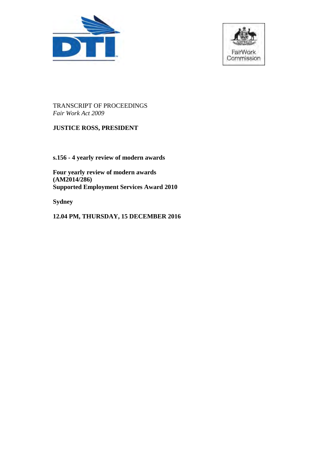



# TRANSCRIPT OF PROCEEDINGS *Fair Work Act 2009*

# **JUSTICE ROSS, PRESIDENT**

**s.156 - 4 yearly review of modern awards** 

**Four yearly review of modern awards (AM2014/286) Supported Employment Services Award 2010** 

**Sydney** 

**12.04 PM, THURSDAY, 15 DECEMBER 2016**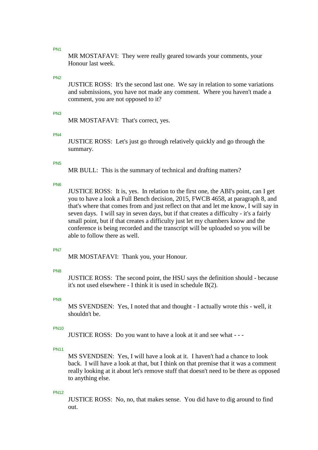MR MOSTAFAVI: They were really geared towards your comments, your Honour last week.

# PN2

JUSTICE ROSS: It's the second last one. We say in relation to some variations and submissions, you have not made any comment. Where you haven't made a comment, you are not opposed to it?

# PN3

MR MOSTAFAVI: That's correct, yes.

# PN4

JUSTICE ROSS: Let's just go through relatively quickly and go through the summary.

### PN5

MR BULL: This is the summary of technical and drafting matters?

# PN6

JUSTICE ROSS: It is, yes. In relation to the first one, the ABI's point, can I get you to have a look a Full Bench decision, 2015, FWCB 4658, at paragraph 8, and that's where that comes from and just reflect on that and let me know, I will say in seven days. I will say in seven days, but if that creates a difficulty - it's a fairly small point, but if that creates a difficulty just let my chambers know and the conference is being recorded and the transcript will be uploaded so you will be able to follow there as well.

### PN7

MR MOSTAFAVI: Thank you, your Honour.

### PN8

JUSTICE ROSS: The second point, the HSU says the definition should - because it's not used elsewhere - I think it is used in schedule B(2).

# PN9

MS SVENDSEN: Yes, I noted that and thought - I actually wrote this - well, it shouldn't be.

# PN10

JUSTICE ROSS: Do you want to have a look at it and see what - - -

# PN11

MS SVENDSEN: Yes, I will have a look at it. I haven't had a chance to look back. I will have a look at that, but I think on that premise that it was a comment really looking at it about let's remove stuff that doesn't need to be there as opposed to anything else.

### PN12

JUSTICE ROSS: No, no, that makes sense. You did have to dig around to find out.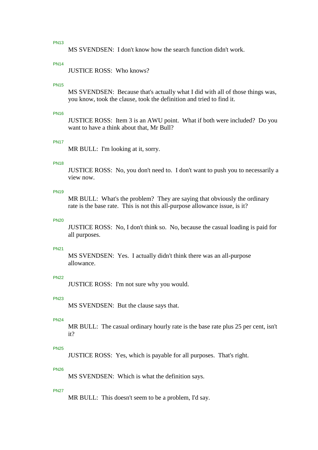MS SVENDSEN: I don't know how the search function didn't work.

### PN14

JUSTICE ROSS: Who knows?

### PN15

MS SVENDSEN: Because that's actually what I did with all of those things was, you know, took the clause, took the definition and tried to find it.

### PN16

JUSTICE ROSS: Item 3 is an AWU point. What if both were included? Do you want to have a think about that, Mr Bull?

#### PN17

MR BULL: I'm looking at it, sorry.

# PN18

JUSTICE ROSS: No, you don't need to. I don't want to push you to necessarily a view now.

### PN19

MR BULL: What's the problem? They are saying that obviously the ordinary rate is the base rate. This is not this all-purpose allowance issue, is it?

### PN20

JUSTICE ROSS: No, I don't think so. No, because the casual loading is paid for all purposes.

#### PN21

MS SVENDSEN: Yes. I actually didn't think there was an all-purpose allowance.

### PN22

JUSTICE ROSS: I'm not sure why you would.

### PN23

MS SVENDSEN: But the clause says that.

#### PN24

MR BULL: The casual ordinary hourly rate is the base rate plus 25 per cent, isn't it?

### PN25

JUSTICE ROSS: Yes, which is payable for all purposes. That's right.

### PN26

MS SVENDSEN: Which is what the definition says.

#### **PN27**

MR BULL: This doesn't seem to be a problem, I'd say.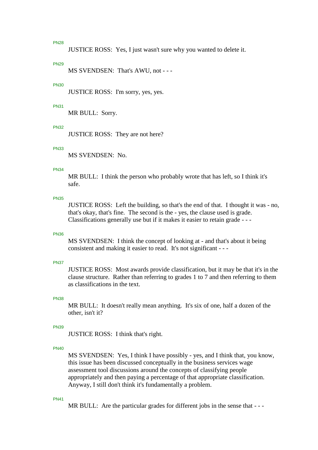JUSTICE ROSS: Yes, I just wasn't sure why you wanted to delete it.

### **PN20**

MS SVENDSEN: That's AWU, not - - -

### PN30

JUSTICE ROSS: I'm sorry, yes, yes.

### PN31

MR BULL: Sorry.

#### PN32

JUSTICE ROSS: They are not here?

# PN33

MS SVENDSEN: No.

#### PN34

MR BULL: I think the person who probably wrote that has left, so I think it's safe.

#### PN35

JUSTICE ROSS: Left the building, so that's the end of that. I thought it was - no, that's okay, that's fine. The second is the - yes, the clause used is grade. Classifications generally use but if it makes it easier to retain grade - - -

#### PN36

MS SVENDSEN: I think the concept of looking at - and that's about it being consistent and making it easier to read. It's not significant - - -

#### PN37

JUSTICE ROSS: Most awards provide classification, but it may be that it's in the clause structure. Rather than referring to grades 1 to 7 and then referring to them as classifications in the text.

### PN38

MR BULL: It doesn't really mean anything. It's six of one, half a dozen of the other, isn't it?

### PN39

JUSTICE ROSS: I think that's right.

# PN40

MS SVENDSEN: Yes, I think I have possibly - yes, and I think that, you know, this issue has been discussed conceptually in the business services wage assessment tool discussions around the concepts of classifying people appropriately and then paying a percentage of that appropriate classification. Anyway, I still don't think it's fundamentally a problem.

#### PN41

MR BULL: Are the particular grades for different jobs in the sense that - --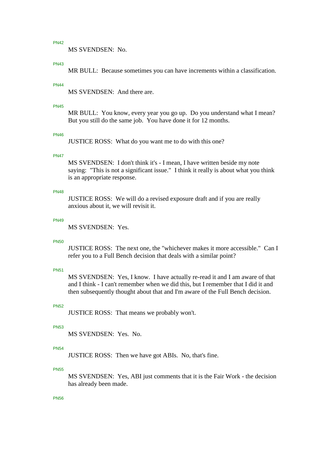MS SVENDSEN: No.

### PN43

MR BULL: Because sometimes you can have increments within a classification.

### PN44

MS SVENDSEN: And there are.

#### PN45

MR BULL: You know, every year you go up. Do you understand what I mean? But you still do the same job. You have done it for 12 months.

#### PN46

JUSTICE ROSS: What do you want me to do with this one?

#### PN47

MS SVENDSEN: I don't think it's - I mean, I have written beside my note saying: "This is not a significant issue." I think it really is about what you think is an appropriate response.

### PN48

JUSTICE ROSS: We will do a revised exposure draft and if you are really anxious about it, we will revisit it.

### PN49

MS SVENDSEN: Yes.

#### PN50

JUSTICE ROSS: The next one, the "whichever makes it more accessible." Can I refer you to a Full Bench decision that deals with a similar point?

#### PN51

MS SVENDSEN: Yes, I know. I have actually re-read it and I am aware of that and I think - I can't remember when we did this, but I remember that I did it and then subsequently thought about that and I'm aware of the Full Bench decision.

### PN52

JUSTICE ROSS: That means we probably won't.

#### PN53

MS SVENDSEN: Yes. No.

#### PN54

JUSTICE ROSS: Then we have got ABIs. No, that's fine.

### PN55

MS SVENDSEN: Yes, ABI just comments that it is the Fair Work - the decision has already been made.

### PN56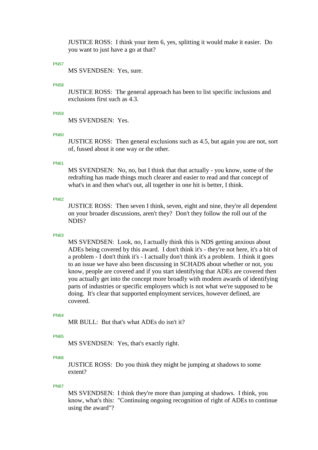JUSTICE ROSS: I think your item 6, yes, splitting it would make it easier. Do you want to just have a go at that?

### **PN57**

MS SVENDSEN: Yes, sure.

#### PN58

JUSTICE ROSS: The general approach has been to list specific inclusions and exclusions first such as 4.3.

### **PN50**

MS SVENDSEN: Yes.

#### PN60

JUSTICE ROSS: Then general exclusions such as 4.5, but again you are not, sort of, fussed about it one way or the other.

## PN61

MS SVENDSEN: No, no, but I think that that actually - you know, some of the redrafting has made things much clearer and easier to read and that concept of what's in and then what's out, all together in one hit is better, I think.

### PN62

JUSTICE ROSS: Then seven I think, seven, eight and nine, they're all dependent on your broader discussions, aren't they? Don't they follow the roll out of the NDIS?

#### PN63

MS SVENDSEN: Look, no, I actually think this is NDS getting anxious about ADEs being covered by this award. I don't think it's - they're not here, it's a bit of a problem - I don't think it's - I actually don't think it's a problem. I think it goes to an issue we have also been discussing in SCHADS about whether or not, you know, people are covered and if you start identifying that ADEs are covered then you actually get into the concept more broadly with modern awards of identifying parts of industries or specific employers which is not what we're supposed to be doing. It's clear that supported employment services, however defined, are covered.

#### PN64

MR BULL: But that's what ADEs do isn't it?

## PN65

MS SVENDSEN: Yes, that's exactly right.

### PN66

JUSTICE ROSS: Do you think they might be jumping at shadows to some extent?

#### PN67

MS SVENDSEN: I think they're more than jumping at shadows. I think, you know, what's this: "Continuing ongoing recognition of right of ADEs to continue using the award"?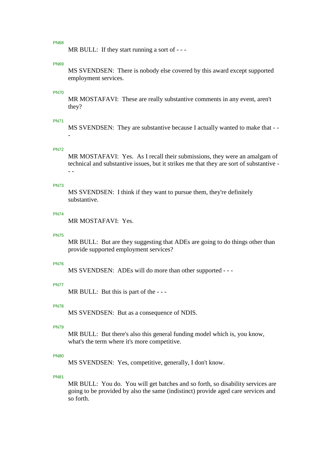MR BULL: If they start running a sort of - - -

### **PN69**

MS SVENDSEN: There is nobody else covered by this award except supported employment services.

### PN70

MR MOSTAFAVI: These are really substantive comments in any event, aren't they?

#### PN71

MS SVENDSEN: They are substantive because I actually wanted to make that - - -

# PN72

MR MOSTAFAVI: Yes. As I recall their submissions, they were an amalgam of technical and substantive issues, but it strikes me that they are sort of substantive - - -

# PN73

MS SVENDSEN: I think if they want to pursue them, they're definitely substantive.

### PN74

MR MOSTAFAVI: Yes.

#### PN75

MR BULL: But are they suggesting that ADEs are going to do things other than provide supported employment services?

#### PN76

MS SVENDSEN: ADEs will do more than other supported - - -

### PN77

MR BULL: But this is part of the ---

#### PN78

MS SVENDSEN: But as a consequence of NDIS.

### PN79

MR BULL: But there's also this general funding model which is, you know, what's the term where it's more competitive.

### PN80

MS SVENDSEN: Yes, competitive, generally, I don't know.

## PN81

MR BULL: You do. You will get batches and so forth, so disability services are going to be provided by also the same (indistinct) provide aged care services and so forth.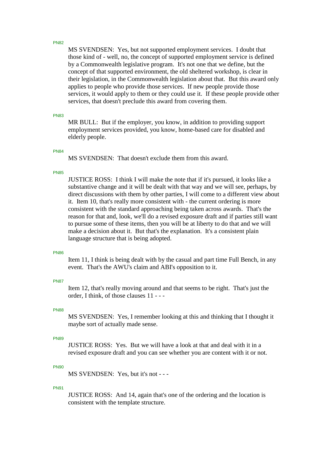MS SVENDSEN: Yes, but not supported employment services. I doubt that those kind of - well, no, the concept of supported employment service is defined by a Commonwealth legislative program. It's not one that we define, but the concept of that supported environment, the old sheltered workshop, is clear in their legislation, in the Commonwealth legislation about that. But this award only applies to people who provide those services. If new people provide those services, it would apply to them or they could use it. If these people provide other services, that doesn't preclude this award from covering them.

### PN83

MR BULL: But if the employer, you know, in addition to providing support employment services provided, you know, home-based care for disabled and elderly people.

#### PN84

MS SVENDSEN: That doesn't exclude them from this award.

# PN85

JUSTICE ROSS: I think I will make the note that if it's pursued, it looks like a substantive change and it will be dealt with that way and we will see, perhaps, by direct discussions with them by other parties, I will come to a different view about it. Item 10, that's really more consistent with - the current ordering is more consistent with the standard approaching being taken across awards. That's the reason for that and, look, we'll do a revised exposure draft and if parties still want to pursue some of these items, then you will be at liberty to do that and we will make a decision about it. But that's the explanation. It's a consistent plain language structure that is being adopted.

#### **PN86**

Item 11, I think is being dealt with by the casual and part time Full Bench, in any event. That's the AWU's claim and ABI's opposition to it.

#### PN87

Item 12, that's really moving around and that seems to be right. That's just the order, I think, of those clauses 11 - - -

# PN88

MS SVENDSEN: Yes, I remember looking at this and thinking that I thought it maybe sort of actually made sense.

# PN89

JUSTICE ROSS: Yes. But we will have a look at that and deal with it in a revised exposure draft and you can see whether you are content with it or not.

#### PN90

MS SVENDSEN: Yes, but it's not - - -

### PN91

JUSTICE ROSS: And 14, again that's one of the ordering and the location is consistent with the template structure.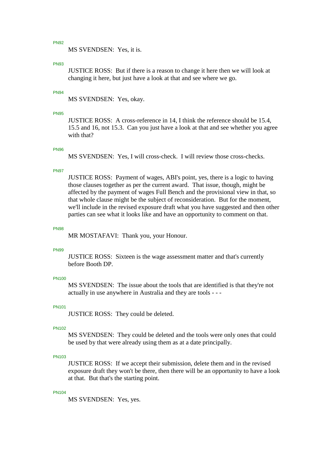MS SVENDSEN: Yes, it is.

### PN93

JUSTICE ROSS: But if there is a reason to change it here then we will look at changing it here, but just have a look at that and see where we go.

### PN94

MS SVENDSEN: Yes, okay.

### PN95

JUSTICE ROSS: A cross-reference in 14, I think the reference should be 15.4, 15.5 and 16, not 15.3. Can you just have a look at that and see whether you agree with that?

# PN96

MS SVENDSEN: Yes, I will cross-check. I will review those cross-checks.

#### PN97

JUSTICE ROSS: Payment of wages, ABI's point, yes, there is a logic to having those clauses together as per the current award. That issue, though, might be affected by the payment of wages Full Bench and the provisional view in that, so that whole clause might be the subject of reconsideration. But for the moment, we'll include in the revised exposure draft what you have suggested and then other parties can see what it looks like and have an opportunity to comment on that.

#### PN98

MR MOSTAFAVI: Thank you, your Honour.

#### PN99

JUSTICE ROSS: Sixteen is the wage assessment matter and that's currently before Booth DP.

# PN100

MS SVENDSEN: The issue about the tools that are identified is that they're not actually in use anywhere in Australia and they are tools - - -

#### PN101

JUSTICE ROSS: They could be deleted.

#### PN102

MS SVENDSEN: They could be deleted and the tools were only ones that could be used by that were already using them as at a date principally.

### PN103

JUSTICE ROSS: If we accept their submission, delete them and in the revised exposure draft they won't be there, then there will be an opportunity to have a look at that. But that's the starting point.

#### PN104

MS SVENDSEN: Yes, yes.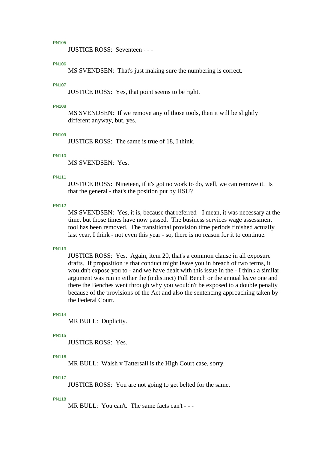JUSTICE ROSS: Seventeen - - -

### PN106

MS SVENDSEN: That's just making sure the numbering is correct.

### PN107

JUSTICE ROSS: Yes, that point seems to be right.

#### PN108

MS SVENDSEN: If we remove any of those tools, then it will be slightly different anyway, but, yes.

### PN109

JUSTICE ROSS: The same is true of 18, I think.

#### PN110

MS SVENDSEN: Yes.

#### PN111

JUSTICE ROSS: Nineteen, if it's got no work to do, well, we can remove it. Is that the general - that's the position put by HSU?

## PN112

MS SVENDSEN: Yes, it is, because that referred - I mean, it was necessary at the time, but those times have now passed. The business services wage assessment tool has been removed. The transitional provision time periods finished actually last year, I think - not even this year - so, there is no reason for it to continue.

### PN113

JUSTICE ROSS: Yes. Again, item 20, that's a common clause in all exposure drafts. If proposition is that conduct might leave you in breach of two terms, it wouldn't expose you to - and we have dealt with this issue in the - I think a similar argument was run in either the (indistinct) Full Bench or the annual leave one and there the Benches went through why you wouldn't be exposed to a double penalty because of the provisions of the Act and also the sentencing approaching taken by the Federal Court.

# PN114

MR BULL: Duplicity.

#### PN115

JUSTICE ROSS: Yes.

### PN116

MR BULL: Walsh v Tattersall is the High Court case, sorry.

### PN117

JUSTICE ROSS: You are not going to get belted for the same.

#### PN118

MR BULL: You can't. The same facts can't - - -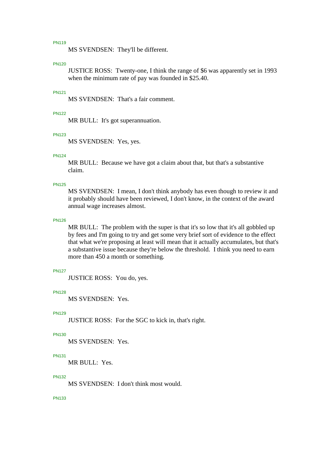MS SVENDSEN: They'll be different.

### PN120

JUSTICE ROSS: Twenty-one, I think the range of \$6 was apparently set in 1993 when the minimum rate of pay was founded in \$25.40.

# PN121

MS SVENDSEN: That's a fair comment.

### PN122

MR BULL: It's got superannuation.

# PN123

MS SVENDSEN: Yes, yes.

#### PN124

MR BULL: Because we have got a claim about that, but that's a substantive claim.

### PN125

MS SVENDSEN: I mean, I don't think anybody has even though to review it and it probably should have been reviewed, I don't know, in the context of the award annual wage increases almost.

### PN126

MR BULL: The problem with the super is that it's so low that it's all gobbled up by fees and I'm going to try and get some very brief sort of evidence to the effect that what we're proposing at least will mean that it actually accumulates, but that's a substantive issue because they're below the threshold. I think you need to earn more than 450 a month or something.

#### PN127

JUSTICE ROSS: You do, yes.

#### **PN128**

MS SVENDSEN: Yes.

## PN129

JUSTICE ROSS: For the SGC to kick in, that's right.

### PN130

MS SVENDSEN: Yes.

### PN131

MR BULL: Yes.

### PN132

MS SVENDSEN: I don't think most would.

### PN133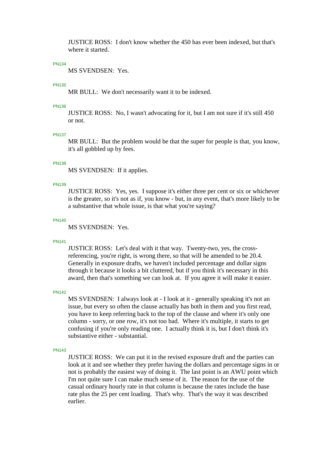JUSTICE ROSS: I don't know whether the 450 has ever been indexed, but that's where it started.

### PN134

MS SVENDSEN: Yes.

### PN135

MR BULL: We don't necessarily want it to be indexed.

#### PN136

JUSTICE ROSS: No, I wasn't advocating for it, but I am not sure if it's still 450 or not.

### PN137

MR BULL: But the problem would be that the super for people is that, you know, it's all gobbled up by fees.

# **DN138**

MS SVENDSEN: If it applies.

### PN139

JUSTICE ROSS: Yes, yes. I suppose it's either three per cent or six or whichever is the greater, so it's not as if, you know - but, in any event, that's more likely to be a substantive that whole issue, is that what you're saying?

### PN140

MS SVENDSEN: Yes.

#### PN141

JUSTICE ROSS: Let's deal with it that way. Twenty-two, yes, the crossreferencing, you're right, is wrong there, so that will be amended to be 20.4. Generally in exposure drafts, we haven't included percentage and dollar signs through it because it looks a bit cluttered, but if you think it's necessary in this award, then that's something we can look at. If you agree it will make it easier.

#### **PN142**

MS SVENDSEN: I always look at - I look at it - generally speaking it's not an issue, but every so often the clause actually has both in them and you first read, you have to keep referring back to the top of the clause and where it's only one column - sorry, or one row, it's not too bad. Where it's multiple, it starts to get confusing if you're only reading one. I actually think it is, but I don't think it's substantive either - substantial.

PN143

JUSTICE ROSS: We can put it in the revised exposure draft and the parties can look at it and see whether they prefer having the dollars and percentage signs in or not is probably the easiest way of doing it. The last point is an AWU point which I'm not quite sure I can make much sense of it. The reason for the use of the casual ordinary hourly rate in that column is because the rates include the base rate plus the 25 per cent loading. That's why. That's the way it was described earlier.